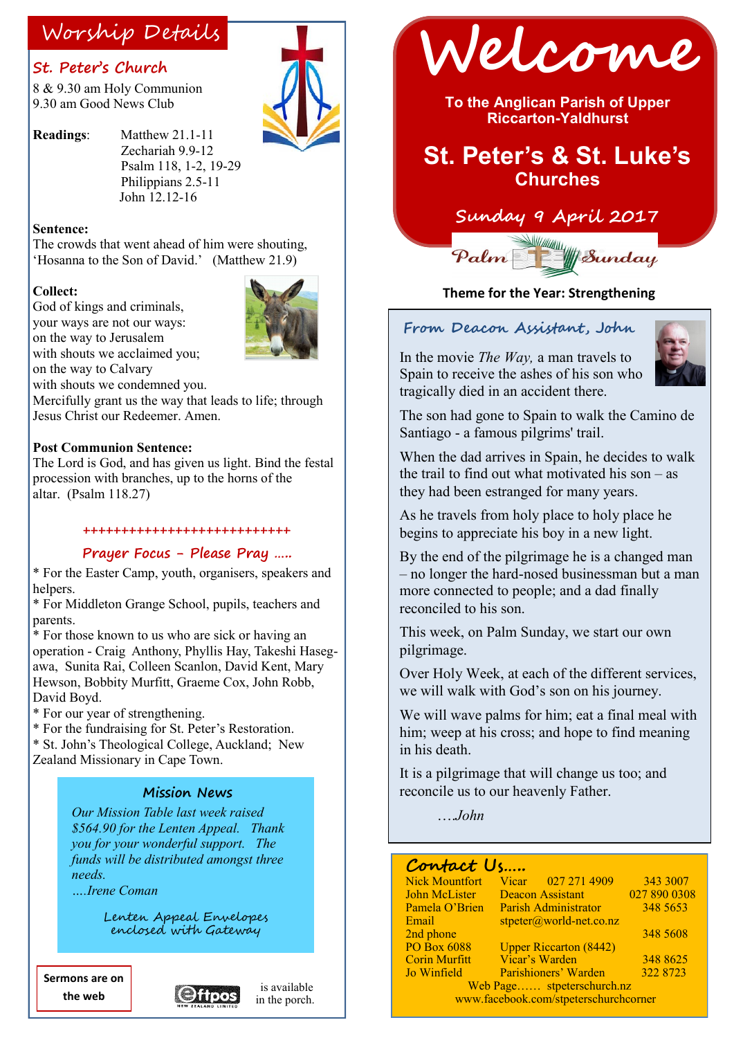### **St. Peter's Church**

8 & 9.30 am Holy Communion 9.30 am Good News Club



**Readings**: Matthew 21.1-11 Zechariah 9.9-12 Psalm 118, 1-2, 19-29 Philippians 2.5-11 John 12.12-16

#### **Sentence:**

The crowds that went ahead of him were shouting, 'Hosanna to the Son of David.' (Matthew 21.9)

#### **Collect:**

God of kings and criminals, your ways are not our ways: on the way to Jerusalem with shouts we acclaimed you;

on the way to Calvary



with shouts we condemned you.

Mercifully grant us the way that leads to life; through Jesus Christ our Redeemer. Amen.

#### **Post Communion Sentence:**

The Lord is God, and has given us light. Bind the festal procession with branches, up to the horns of the altar. (Psalm 118.27)

#### **+++++++++++++++++++++++++++**

### **Prayer Focus - Please Pray …..**

\* For the Easter Camp, youth, organisers, speakers and helpers

\* For Middleton Grange School, pupils, teachers and parents.

\* For those known to us who are sick or having an operation - Craig Anthony, Phyllis Hay, Takeshi Hasegawa, Sunita Rai, Colleen Scanlon, David Kent, Mary Hewson, Bobbity Murfitt, Graeme Cox, John Robb, David Boyd.

\* For our year of strengthening.

\* For the fundraising for St. Peter's Restoration.

\* St. John's Theological College, Auckland; New Zealand Missionary in Cape Town.

### **Mission News**

*Our Mission Table last week raised \$564.90 for the Lenten Appeal. Thank you for your wonderful support. The funds will be distributed amongst three needs.*

*….Irene Coman* 

Lenten Appeal Envelopes enclosed with Gateway

**Sermons are on the web**



is available in the porch.



**To the Anglican Parish of Upper Riccarton-Yaldhurst**

## **St. Peter's & St. Luke's Churches**

## **Sunday 9 April 2017**



#### **Theme for the Year: Strengthening**

#### **From Deacon Assistant, John**

In the movie *The Way,* a man travels to Spain to receive the ashes of his son who tragically died in an accident there.



The son had gone to Spain to walk the Camino de Santiago - a famous pilgrims' trail.

When the dad arrives in Spain, he decides to walk the trail to find out what motivated his son – as they had been estranged for many years.

As he travels from holy place to holy place he begins to appreciate his boy in a new light.

By the end of the pilgrimage he is a changed man – no longer the hard-nosed businessman but a man more connected to people; and a dad finally reconciled to his son.

This week, on Palm Sunday, we start our own pilgrimage.

Over Holy Week, at each of the different services, we will walk with God's son on his journey.

We will wave palms for him; eat a final meal with him; weep at his cross; and hope to find meaning in his death.

It is a pilgrimage that will change us too; and reconcile us to our heavenly Father.

….*John*

### **Contact Us…..**

| <b>Nick Mountfort</b>                 | Vicar 027 271 4909            | 343 3007     |
|---------------------------------------|-------------------------------|--------------|
| <b>John McLister</b>                  | <b>Deacon Assistant</b>       | 027 890 0308 |
| Pamela O'Brien                        | Parish Administrator          | 348 5653     |
| Email                                 | $stpeter@world-net.co.nz$     |              |
| 2nd phone                             |                               | 348 5608     |
| <b>PO Box 6088</b>                    | <b>Upper Riccarton (8442)</b> |              |
| <b>Corin Murfitt</b>                  | Vicar's Warden                | 348 8625     |
| Jo Winfield                           | Parishioners' Warden          | 322 8723     |
| Web Page stpeterschurch.nz            |                               |              |
| www.facebook.com/stpeterschurchcorner |                               |              |